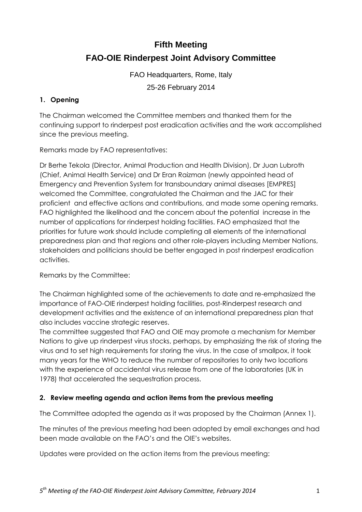## **Fifth Meeting**

## **FAO-OIE Rinderpest Joint Advisory Committee**

FAO Headquarters, Rome, Italy 25-26 February 2014

## **1. Opening**

The Chairman welcomed the Committee members and thanked them for the continuing support to rinderpest post eradication activities and the work accomplished since the previous meeting.

Remarks made by FAO representatives:

Dr Berhe Tekola (Director, Animal Production and Health Division), Dr Juan Lubroth (Chief, Animal Health Service) and Dr Eran Raizman (newly appointed head of Emergency and Prevention System for transboundary animal diseases [EMPRES] welcomed the Committee, congratulated the Chairman and the JAC for their proficient and effective actions and contributions, and made some opening remarks. FAO highlighted the likelihood and the concern about the potential increase in the number of applications for rinderpest holding facilities. FAO emphasized that the priorities for future work should include completing all elements of the international preparedness plan and that regions and other role-players including Member Nations, stakeholders and politicians should be better engaged in post rinderpest eradication activities.

Remarks by the Committee:

The Chairman highlighted some of the achievements to date and re-emphasized the importance of FAO-OIE rinderpest holding facilities, post-Rinderpest research and development activities and the existence of an international preparedness plan that also includes vaccine strategic reserves.

The committee suggested that FAO and OIE may promote a mechanism for Member Nations to give up rinderpest virus stocks, perhaps, by emphasizing the risk of storing the virus and to set high requirements for storing the virus. In the case of smallpox, it took many years for the WHO to reduce the number of repositories to only two locations with the experience of accidental virus release from one of the laboratories (UK in 1978) that accelerated the sequestration process.

#### **2. Review meeting agenda and action items from the previous meeting**

The Committee adopted the agenda as it was proposed by the Chairman (Annex 1).

The minutes of the previous meeting had been adopted by email exchanges and had been made available on the FAO's and the OIE's websites.

Updates were provided on the action items from the previous meeting: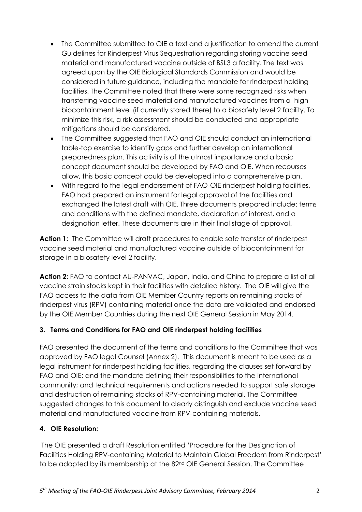- The Committee submitted to OIE a text and a justification to amend the current Guidelines for Rinderpest Virus Sequestration regarding storing vaccine seed material and manufactured vaccine outside of BSL3 a facility. The text was agreed upon by the OIE Biological Standards Commission and would be considered in future guidance, including the mandate for rinderpest holding facilities. The Committee noted that there were some recognized risks when transferring vaccine seed material and manufactured vaccines from a high biocontainment level (if currently stored there) to a biosafety level 2 facility. To minimize this risk, a risk assessment should be conducted and appropriate mitigations should be considered.
- The Committee suggested that FAO and OIE should conduct an international table-top exercise to identify gaps and further develop an international preparedness plan. This activity is of the utmost importance and a basic concept document should be developed by FAO and OIE. When recourses allow, this basic concept could be developed into a comprehensive plan.
- With regard to the legal endorsement of FAO-OIE rinderpest holding facilities, FAO had prepared an instrument for legal approval of the facilities and exchanged the latest draft with OIE. Three documents prepared include: terms and conditions with the defined mandate, declaration of interest, and a designation letter. These documents are in their final stage of approval.

**Action 1:** The Committee will draft procedures to enable safe transfer of rinderpest vaccine seed material and manufactured vaccine outside of biocontainment for storage in a biosafety level 2 facility.

**Action 2:** FAO to contact AU-PANVAC, Japan, India, and China to prepare a list of all vaccine strain stocks kept in their facilities with detailed history. The OIE will give the FAO access to the data from OIE Member Country reports on remaining stocks of rinderpest virus (RPV) containing material once the data are validated and endorsed by the OIE Member Countries during the next OIE General Session in May 2014.

## **3. Terms and Conditions for FAO and OIE rinderpest holding facilities**

FAO presented the document of the terms and conditions to the Committee that was approved by FAO legal Counsel (Annex 2). This document is meant to be used as a legal instrument for rinderpest holding facilities, regarding the clauses set forward by FAO and OIE; and the mandate defining their responsibilities to the international community; and technical requirements and actions needed to support safe storage and destruction of remaining stocks of RPV-containing material. The Committee suggested changes to this document to clearly distinguish and exclude vaccine seed material and manufactured vaccine from RPV-containing materials.

## **4. OIE Resolution:**

The OIE presented a draft Resolution entitled 'Procedure for the Designation of Facilities Holding RPV-containing Material to Maintain Global Freedom from Rinderpest' to be adopted by its membership at the 82<sup>nd</sup> OIE General Session. The Committee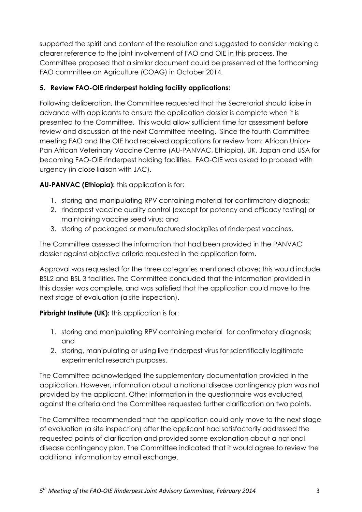supported the spirit and content of the resolution and suggested to consider making a clearer reference to the joint involvement of FAO and OIE in this process. The Committee proposed that a similar document could be presented at the forthcoming FAO committee on Agriculture (COAG) in October 2014.

## **5. Review FAO-OIE rinderpest holding facility applications:**

Following deliberation, the Committee requested that the Secretariat should liaise in advance with applicants to ensure the application dossier is complete when it is presented to the Committee. This would allow sufficient time for assessment before review and discussion at the next Committee meeting. Since the fourth Committee meeting FAO and the OIE had received applications for review from: African Union-Pan African Veterinary Vaccine Centre (AU-PANVAC, Ethiopia), UK, Japan and USA for becoming FAO-OIE rinderpest holding facilities. FAO-OIE was asked to proceed with urgency (in close liaison with JAC).

**AU-PANVAC (Ethiopia):** this application is for:

- 1. storing and manipulating RPV containing material for confirmatory diagnosis;
- 2. rinderpest vaccine quality control (except for potency and efficacy testing) or maintaining vaccine seed virus; and
- 3. storing of packaged or manufactured stockpiles of rinderpest vaccines.

The Committee assessed the information that had been provided in the PANVAC dossier against objective criteria requested in the application form.

Approval was requested for the three categories mentioned above; this would include BSL2 and BSL 3 facilities. The Committee concluded that the information provided in this dossier was complete, and was satisfied that the application could move to the next stage of evaluation (a site inspection).

**Pirbright Institute (UK):** this application is for:

- 1. storing and manipulating RPV containing material for confirmatory diagnosis; and
- 2. storing, manipulating or using live rinderpest virus for scientifically legitimate experimental research purposes.

The Committee acknowledged the supplementary documentation provided in the application. However, information about a national disease contingency plan was not provided by the applicant. Other information in the questionnaire was evaluated against the criteria and the Committee requested further clarification on two points.

The Committee recommended that the application could only move to the next stage of evaluation (a site inspection) after the applicant had satisfactorily addressed the requested points of clarification and provided some explanation about a national disease contingency plan. The Committee indicated that it would agree to review the additional information by email exchange.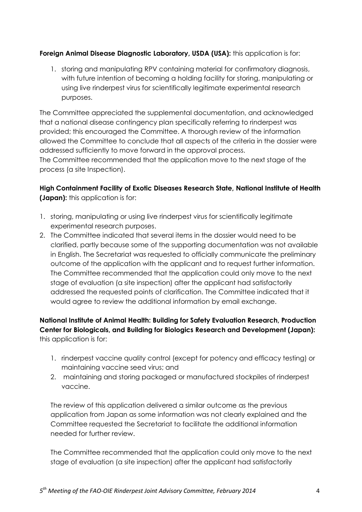## **Foreign Animal Disease Diagnostic Laboratory, USDA (USA):** this application is for:

1. storing and manipulating RPV containing material for confirmatory diagnosis, with future intention of becoming a holding facility for storing, manipulating or using live rinderpest virus for scientifically legitimate experimental research purposes.

The Committee appreciated the supplemental documentation, and acknowledged that a national disease contingency plan specifically referring to rinderpest was provided; this encouraged the Committee. A thorough review of the information allowed the Committee to conclude that all aspects of the criteria in the dossier were addressed sufficiently to move forward in the approval process.

The Committee recommended that the application move to the next stage of the process (a site Inspection).

## **High Containment Facility of Exotic Diseases Research State, National Institute of Health (Japan):** this application is for:

- 1. storing, manipulating or using live rinderpest virus for scientifically legitimate experimental research purposes.
- 2. The Committee indicated that several items in the dossier would need to be clarified, partly because some of the supporting documentation was not available in English. The Secretariat was requested to officially communicate the preliminary outcome of the application with the applicant and to request further information. The Committee recommended that the application could only move to the next stage of evaluation (a site inspection) after the applicant had satisfactorily addressed the requested points of clarification. The Committee indicated that it would agree to review the additional information by email exchange.

## **National Institute of Animal Health: Building for Safety Evaluation Research, Production Center for Biologicals, and Building for Biologics Research and Development (Japan):**  this application is for:

- 1. rinderpest vaccine quality control (except for potency and efficacy testing) or maintaining vaccine seed virus; and
- 2. maintaining and storing packaged or manufactured stockpiles of rinderpest vaccine.

The review of this application delivered a similar outcome as the previous application from Japan as some information was not clearly explained and the Committee requested the Secretariat to facilitate the additional information needed for further review.

The Committee recommended that the application could only move to the next stage of evaluation (a site inspection) after the applicant had satisfactorily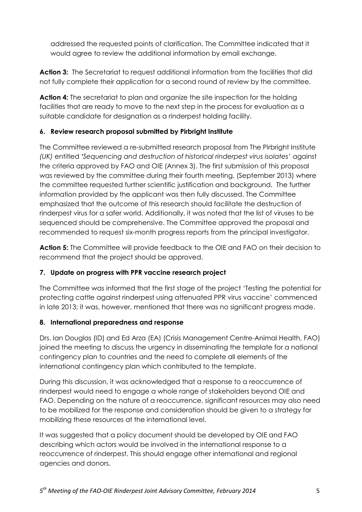addressed the requested points of clarification. The Committee indicated that it would agree to review the additional information by email exchange.

**Action 3:** The Secretariat to request additional information from the facilities that did not fully complete their application for a second round of review by the committee.

**Action 4:** The secretariat to plan and organize the site inspection for the holding facilities that are ready to move to the next step in the process for evaluation as a suitable candidate for designation as a rinderpest holding facility.

## **6. Review research proposal submitted by Pirbright Institute**

The Committee reviewed a re-submitted research proposal from The Pirbright Institute *(UK)* entitled *'Sequencing and destruction of historical rinderpest virus isolates'* against the criteria approved by FAO and OIE (Annex 3). The first submission of this proposal was reviewed by the committee during their fourth meeting, (September 2013) where the committee requested further scientific justification and background. The further information provided by the applicant was then fully discussed. The Committee emphasized that the outcome of this research should facilitate the destruction of rinderpest virus for a safer world. Additionally, it was noted that the list of viruses to be sequenced should be comprehensive. The Committee approved the proposal and recommended to request six-month progress reports from the principal investigator.

**Action 5:** The Committee will provide feedback to the OIE and FAO on their decision to recommend that the project should be approved.

## **7. Update on progress with PPR vaccine research project**

The Committee was informed that the first stage of the project 'Testing the potential for protecting cattle against rinderpest using attenuated PPR virus vaccine' commenced in late 2013; it was, however, mentioned that there was no significant progress made.

## **8. International preparedness and response**

Drs. Ian Douglas (ID) and Ed Arza (EA) (Crisis Management Centre-Animal Health, FAO) joined the meeting to discuss the urgency in disseminating the template for a national contingency plan to countries and the need to complete all elements of the international contingency plan which contributed to the template.

During this discussion, it was acknowledged that a response to a reoccurrence of rinderpest would need to engage a whole range of stakeholders beyond OIE and FAO. Depending on the nature of a reoccurrence, significant resources may also need to be mobilized for the response and consideration should be given to a strategy for mobilizing these resources at the international level.

It was suggested that a policy document should be developed by OIE and FAO describing which actors would be involved in the international response to a reoccurrence of rinderpest. This should engage other international and regional agencies and donors.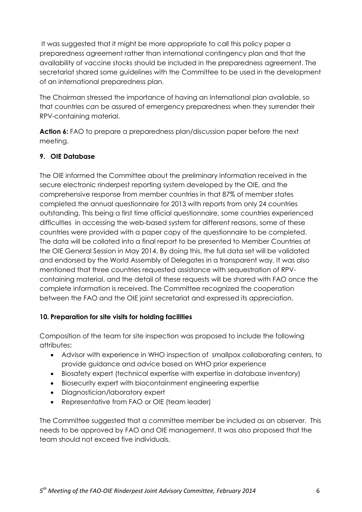It was suggested that it might be more appropriate to call this policy paper a preparedness agreement rather than international contingency plan and that the availability of vaccine stocks should be included in the preparedness agreement. The secretariat shared some guidelines with the Committee to be used in the development of an international preparedness plan.

The Chairman stressed the importance of having an International plan available, so that countries can be assured of emergency preparedness when they surrender their RPV-containing material.

**Action 6:** FAO to prepare a preparedness plan/discussion paper before the next meeting.

## **9. OIE Database**

The OIE informed the Committee about the preliminary information received in the secure electronic rinderpest reporting system developed by the OIE, and the comprehensive response from member countries in that 87% of member states completed the annual questionnaire for 2013 with reports from only 24 countries outstanding. This being a first time official questionnaire, some countries experienced difficulties in accessing the web-based system for different reasons, some of these countries were provided with a paper copy of the questionnaire to be completed. The data will be collated into a final report to be presented to Member Countries at the OIE General Session in May 2014. By doing this, the full data set will be validated and endorsed by the World Assembly of Delegates in a transparent way. It was also mentioned that three countries requested assistance with sequestration of RPVcontaining material, and the detail of these requests will be shared with FAO once the complete information is received. The Committee recognized the cooperation between the FAO and the OIE joint secretariat and expressed its appreciation.

## **10. Preparation for site visits for holding facilities**

Composition of the team for site inspection was proposed to include the following attributes:

- Advisor with experience in WHO inspection of smallpox collaborating centers, to provide guidance and advice based on WHO prior experience
- Biosafety expert (technical expertise with expertise in database inventory)
- Biosecurity expert with biocontainment engineering expertise
- Diagnostician/laboratory expert
- Representative from FAO or OIE (team leader)

The Committee suggested that a committee member be included as an observer. This needs to be approved by FAO and OIE management. It was also proposed that the team should not exceed five individuals.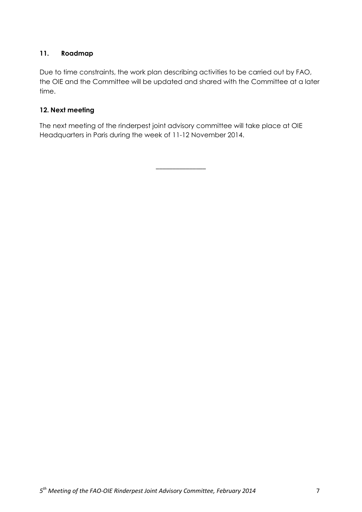## **11. Roadmap**

Due to time constraints, the work plan describing activities to be carried out by FAO, the OIE and the Committee will be updated and shared with the Committee at a later time.

## **12. Next meeting**

The next meeting of the rinderpest joint advisory committee will take place at OIE Headquarters in Paris during the week of 11-12 November 2014.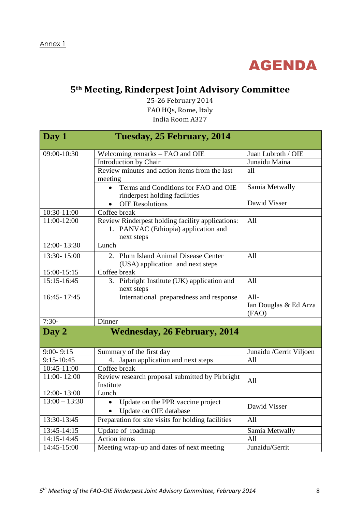

# **5th Meeting, Rinderpest Joint Advisory Committee**

25-26 February 2014 FAO HQs, Rome, Italy India Room A327

| Day 1                      | Tuesday, 25 February, 2014                         |                          |
|----------------------------|----------------------------------------------------|--------------------------|
| 09:00-10:30                | Welcoming remarks – FAO and OIE                    | Juan Lubroth / OIE       |
|                            | Introduction by Chair                              | Junaidu Maina            |
|                            | Review minutes and action items from the last      | all                      |
|                            | meeting                                            |                          |
|                            | Terms and Conditions for FAO and OIE<br>$\bullet$  | Samia Metwally           |
|                            | rinderpest holding facilities                      |                          |
|                            | <b>OIE Resolutions</b>                             | Dawid Visser             |
| 10:30-11:00                | Coffee break                                       |                          |
| 11:00-12:00                | Review Rinderpest holding facility applications:   | All                      |
|                            | 1. PANVAC (Ethiopia) application and               |                          |
|                            | next steps                                         |                          |
| $12:00 - \overline{13:30}$ | Lunch                                              |                          |
| 13:30-15:00                | 2. Plum Island Animal Disease Center               | All                      |
|                            | (USA) application and next steps                   |                          |
| 15:00-15:15                | Coffee break                                       |                          |
| 15:15-16:45                | 3. Pirbright Institute (UK) application and        | All                      |
|                            | next steps                                         |                          |
| $16:45 - 17:45$            | International preparedness and response            | All-                     |
|                            |                                                    | Ian Douglas & Ed Arza    |
| $7:30-$                    |                                                    | (FAO)                    |
|                            | Dinner                                             |                          |
| Day 2                      | <b>Wednesday, 26 February, 2014</b>                |                          |
|                            |                                                    |                          |
| $9:00 - 9:15$              | Summary of the first day                           | Junaidu / Gerrit Viljoen |
| 9:15-10:45                 | 4. Japan application and next steps                | All                      |
| 10:45-11:00                | Coffee break                                       |                          |
| 11:00-12:00                | Review research proposal submitted by Pirbright    | All                      |
|                            | Institute                                          |                          |
| 12:00-13:00                | Lunch                                              |                          |
| $13:00 - 13:30$            | Update on the PPR vaccine project                  | Dawid Visser             |
|                            | Update on OIE database                             |                          |
| 13:30-13:45                | Preparation for site visits for holding facilities | All                      |
| 13:45-14:15                | Update of roadmap                                  | Samia Metwally           |
| 14:15-14:45                | Action items                                       | All                      |
| 14:45-15:00                | Meeting wrap-up and dates of next meeting          | Junaidu/Gerrit           |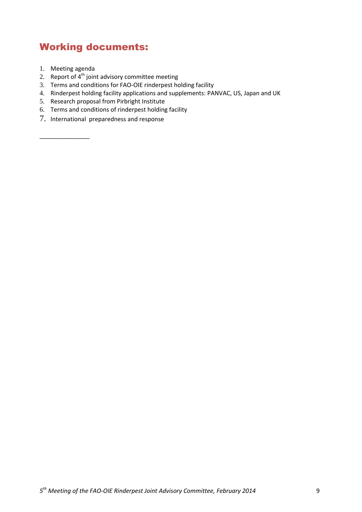# Working documents:

1. Meeting agenda

- 2. Report of  $4<sup>th</sup>$  joint advisory committee meeting
- 3. Terms and conditions for FAO-OIE rinderpest holding facility
- 4. Rinderpest holding facility applications and supplements: PANVAC, US, Japan and UK
- 5. Research proposal from Pirbright Institute
- 6. Terms and conditions of rinderpest holding facility
- 7. International preparedness and response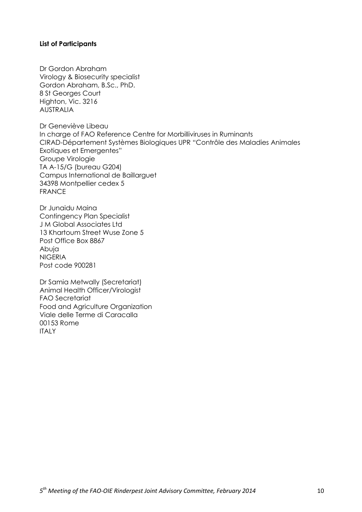#### **List of Participants**

Dr Gordon Abraham Virology & Biosecurity specialist Gordon Abraham, B.Sc., PhD. 8 St Georges Court Highton, Vic. 3216 AUSTRALIA

Dr Geneviève Libeau In charge of FAO Reference Centre for Morbilliviruses in Ruminants CIRAD-Département Systèmes Biologiques UPR "Contrôle des Maladies Animales Exotiques et Emergentes" Groupe Virologie TA A-15/G (bureau G204) Campus International de Baillarguet 34398 Montpellier cedex 5 FRANCE

Dr Junaidu Maina Contingency Plan Specialist J M Global Associates Ltd 13 Khartoum Street Wuse Zone 5 Post Office Box 8867 Abuja NIGERIA Post code 900281

Dr Samia Metwally (Secretariat) Animal Health Officer/Virologist FAO Secretariat Food and Agriculture Organization Viale delle Terme di Caracalla 00153 Rome **ITALY**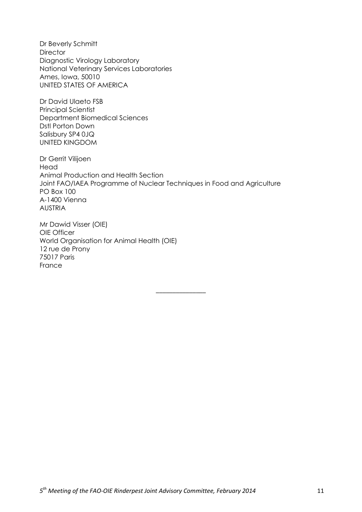Dr Beverly Schmitt **Director** Diagnostic Virology Laboratory National Veterinary Services Laboratories Ames, Iowa, 50010 UNITED STATES OF AMERICA

Dr David Ulaeto FSB Principal Scientist Department Biomedical Sciences Dstl Porton Down Salisbury SP4 0JQ UNITED KINGDOM

Dr Gerrit Vilijoen Head Animal Production and Health Section Joint FAO/IAEA Programme of Nuclear Techniques in Food and Agriculture PO Box 100 A-1400 Vienna AUSTRIA

\_\_\_\_\_\_\_\_\_\_\_\_\_\_\_

Mr Dawid Visser (OIE) OIE Officer World Organisation for Animal Health (OIE) 12 rue de Prony 75017 Paris France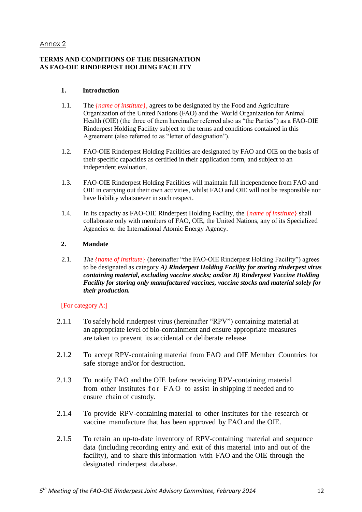#### Annex 2

#### **TERMS AND CONDITIONS OF THE DESIGNATION AS FAO-OIE RINDERPEST HOLDING FACILITY**

#### **1. Introduction**

- 1.1. The *{name of institute*}, agrees to be designated by the Food and Agriculture Organization of the United Nations (FAO) and the World Organization for Animal Health (OIE) (the three of them hereinafter referred also as "the Parties") as a FAO-OIE Rinderpest Holding Facility subject to the terms and conditions contained in this Agreement (also referred to as "letter of designation").
- 1.2. FAO-OIE Rinderpest Holding Facilities are designated by FAO and OIE on the basis of their specific capacities as certified in their application form, and subject to an independent evaluation.
- 1.3. FAO-OIE Rinderpest Holding Facilities will maintain full independence from FAO and OIE in carrying out their own activities, whilst FAO and OIE will not be responsible nor have liability whatsoever in such respect.
- 1.4. In its capacity as FAO-OIE Rinderpest Holding Facility, the {*name of institute*} shall collaborate only with members of FAO, OIE, the United Nations, any of its Specialized Agencies or the International Atomic Energy Agency.

#### **2. Mandate**

2.1. *The {name of institute*} (hereinafter "the FAO-OIE Rinderpest Holding Facility") agrees to be designated as category *A) Rinderpest Holding Facility for storing rinderpest virus containing material, excluding vaccine stocks; and/or B) Rinderpest Vaccine Holding Facility for storing only manufactured vaccines, vaccine stocks and material solely for their production.* 

#### [For category A:]

- 2.1.1 To safely hold rinderpest virus (hereinafter "RPV") containing material at an appropriate level of bio-containment and ensure appropriate measures are taken to prevent its accidental or deliberate release.
- 2.1.2 To accept RPV-containing material from FAO and OIE Member Countries for safe storage and/or for destruction.
- 2.1.3 To notify FAO and the OIE before receiving RPV-containing material from other institutes for FAO to assist in shipping if needed and to ensure chain of custody.
- 2.1.4 To provide RPV-containing material to other institutes for the research or vaccine manufacture that has been approved by FAO and the OIE.
- 2.1.5 To retain an up-to-date inventory of RPV-containing material and sequence data (including recording entry and exit of this material into and out of the facility), and to share this information with FAO and the OIE through the designated rinderpest database.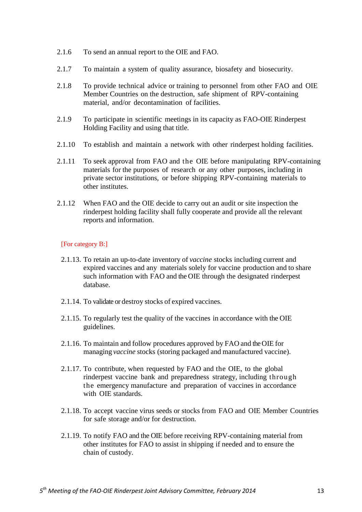- 2.1.6 To send an annual report to the OIE and FAO.
- 2.1.7 To maintain a system of quality assurance, biosafety and biosecurity.
- 2.1.8 To provide technical advice or training to personnel from other FAO and OIE Member Countries on the destruction, safe shipment of RPV-containing material, and/or decontamination of facilities.
- 2.1.9 To participate in scientific meetings in its capacity as FAO-OIE Rinderpest Holding Facility and using that title.
- 2.1.10 To establish and maintain a network with other rinderpest holding facilities.
- 2.1.11 To seek approval from FAO and the OIE before manipulating RPV-containing materials for the purposes of research or any other purposes, including in private sector institutions, or before shipping RPV-containing materials to other institutes.
- 2.1.12 When FAO and the OIE decide to carry out an audit or site inspection the rinderpest holding facility shall fully cooperate and provide all the relevant reports and information.

#### [For category B:]

- 2.1.13. To retain an up-to-date inventory of *vaccine* stocks including current and expired vaccines and any materials solely for vaccine production and to share such information with FAO and the OIE through the designated rinderpest database.
- 2.1.14. To validate or destroy stocks of expired vaccines.
- 2.1.15. To regularly test the quality of the vaccines in accordance with the OIE guidelines.
- 2.1.16. To maintain and follow procedures approved by FAO and the OIE for managing *vaccine* stocks (storing packaged and manufactured vaccine).
- 2.1.17. To contribute, when requested by FAO and the OIE, to the global rinderpest vaccine bank and preparedness strategy, including through the emergency manufacture and preparation of vaccines in accordance with OIE standards.
- 2.1.18. To accept vaccine virus seeds or stocks from FAO and OIE Member Countries for safe storage and/or for destruction.
- 2.1.19. To notify FAO and the OIE before receiving RPV-containing material from other institutes for FAO to assist in shipping if needed and to ensure the chain of custody.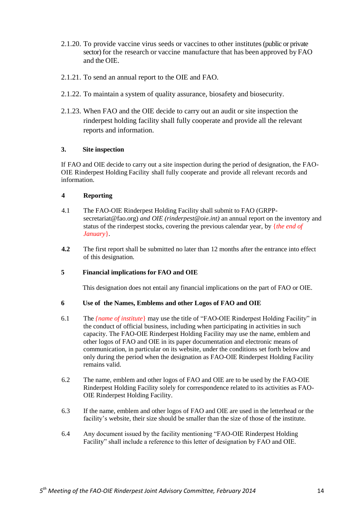- 2.1.20. To provide vaccine virus seeds or vaccines to other institutes (public or private sector) for the research or vaccine manufacture that has been approved by FAO and the OIE.
- 2.1.21. To send an annual report to the OIE and FAO.
- 2.1.22. To maintain a system of quality assurance, biosafety and biosecurity.
- 2.1.23. When FAO and the OIE decide to carry out an audit or site inspection the rinderpest holding facility shall fully cooperate and provide all the relevant reports and information.

#### **3. Site inspection**

If FAO and OIE decide to carry out a site inspection during the period of designation, the FAO-OIE Rinderpest Holding Facility shall fully cooperate and provide all relevant records and information.

#### **4 Reporting**

- 4.1 The FAO-OIE Rinderpest Holding Facility shall submit to FAO (GRPPsecretariat@fao.org) *and OIE (rinderpest@oie.int)* an annual report on the inventory and status of the rinderpest stocks, covering the previous calendar year, by {*the end of January*}.
- **4.2** The first report shall be submitted no later than 12 months after the entrance into effect of this designation*.*

#### **5 Financial implications for FAO and OIE**

This designation does not entail any financial implications on the part of FAO or OIE.

#### **6 Use of the Names, Emblems and other Logos of FAO and OIE**

- 6.1 The *{name of institute*} may use the title of "FAO-OIE Rinderpest Holding Facility" in the conduct of official business, including when participating in activities in such capacity. The FAO-OIE Rinderpest Holding Facility may use the name, emblem and other logos of FAO and OIE in its paper documentation and electronic means of communication, in particular on its website, under the conditions set forth below and only during the period when the designation as FAO-OIE Rinderpest Holding Facility remains valid.
- 6.2 The name, emblem and other logos of FAO and OIE are to be used by the FAO-OIE Rinderpest Holding Facility solely for correspondence related to its activities as FAO-OIE Rinderpest Holding Facility.
- 6.3 If the name, emblem and other logos of FAO and OIE are used in the letterhead or the facility's website, their size should be smaller than the size of those of the institute.
- 6.4 Any document issued by the facility mentioning "FAO-OIE Rinderpest Holding Facility" shall include a reference to this letter of designation by FAO and OIE.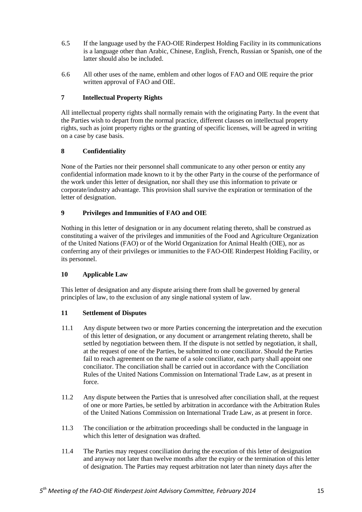- 6.5 If the language used by the FAO-OIE Rinderpest Holding Facility in its communications is a language other than Arabic, Chinese, English, French, Russian or Spanish, one of the latter should also be included.
- 6.6 All other uses of the name, emblem and other logos of FAO and OIE require the prior written approval of FAO and OIE.

#### **7 Intellectual Property Rights**

All intellectual property rights shall normally remain with the originating Party. In the event that the Parties wish to depart from the normal practice, different clauses on intellectual property rights, such as joint property rights or the granting of specific licenses, will be agreed in writing on a case by case basis.

#### **8 Confidentiality**

None of the Parties nor their personnel shall communicate to any other person or entity any confidential information made known to it by the other Party in the course of the performance of the work under this letter of designation, nor shall they use this information to private or corporate/industry advantage. This provision shall survive the expiration or termination of the letter of designation.

#### **9 Privileges and Immunities of FAO and OIE**

Nothing in this letter of designation or in any document relating thereto, shall be construed as constituting a waiver of the privileges and immunities of the Food and Agriculture Organization of the United Nations (FAO) or of the World Organization for Animal Health (OIE), nor as conferring any of their privileges or immunities to the FAO-OIE Rinderpest Holding Facility, or its personnel.

#### **10 Applicable Law**

This letter of designation and any dispute arising there from shall be governed by general principles of law, to the exclusion of any single national system of law.

#### **11 Settlement of Disputes**

- 11.1 Any dispute between two or more Parties concerning the interpretation and the execution of this letter of designation, or any document or arrangement relating thereto, shall be settled by negotiation between them. If the dispute is not settled by negotiation, it shall, at the request of one of the Parties, be submitted to one conciliator. Should the Parties fail to reach agreement on the name of a sole conciliator, each party shall appoint one conciliator. The conciliation shall be carried out in accordance with the Conciliation Rules of the United Nations Commission on International Trade Law, as at present in force.
- 11.2 Any dispute between the Parties that is unresolved after conciliation shall, at the request of one or more Parties, be settled by arbitration in accordance with the Arbitration Rules of the United Nations Commission on International Trade Law, as at present in force.
- 11.3 The conciliation or the arbitration proceedings shall be conducted in the language in which this letter of designation was drafted.
- 11.4 The Parties may request conciliation during the execution of this letter of designation and anyway not later than twelve months after the expiry or the termination of this letter of designation. The Parties may request arbitration not later than ninety days after the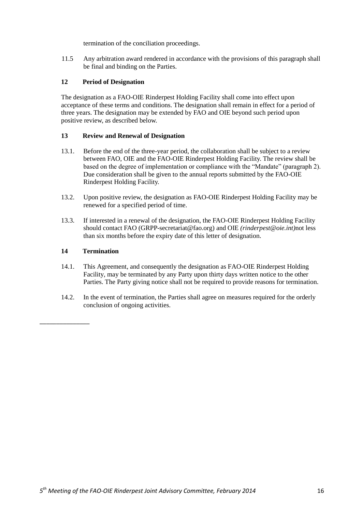termination of the conciliation proceedings.

11.5 Any arbitration award rendered in accordance with the provisions of this paragraph shall be final and binding on the Parties.

#### **12 Period of Designation**

The designation as a FAO-OIE Rinderpest Holding Facility shall come into effect upon acceptance of these terms and conditions. The designation shall remain in effect for a period of three years. The designation may be extended by FAO and OIE beyond such period upon positive review, as described below.

#### **13 Review and Renewal of Designation**

- 13.1. Before the end of the three-year period, the collaboration shall be subject to a review between FAO, OIE and the FAO-OIE Rinderpest Holding Facility. The review shall be based on the degree of implementation or compliance with the "Mandate" (paragraph 2). Due consideration shall be given to the annual reports submitted by the FAO-OIE Rinderpest Holding Facility.
- 13.2. Upon positive review, the designation as FAO-OIE Rinderpest Holding Facility may be renewed for a specified period of time.
- 13.3. If interested in a renewal of the designation, the FAO-OIE Rinderpest Holding Facility should contact FAO (GRPP-secretariat@fao.org) and OIE *(rinderpest@oie.int)*not less than six months before the expiry date of this letter of designation.

#### **14 Termination**

- 14.1. This Agreement, and consequently the designation as FAO-OIE Rinderpest Holding Facility, may be terminated by any Party upon thirty days written notice to the other Parties. The Party giving notice shall not be required to provide reasons for termination.
- 14.2. In the event of termination, the Parties shall agree on measures required for the orderly conclusion of ongoing activities.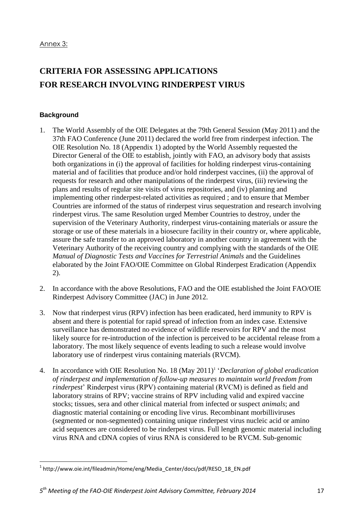# **CRITERIA FOR ASSESSING APPLICATIONS FOR RESEARCH INVOLVING RINDERPEST VIRUS**

### **Background**

 $\overline{a}$ 

- 1. The World Assembly of the OIE Delegates at the 79th General Session (May 2011) and the 37th FAO Conference (June 2011) declared the world free from rinderpest infection. The OIE Resolution No. 18 (Appendix 1) adopted by the World Assembly requested the Director General of the OIE to establish, jointly with FAO, an advisory body that assists both organizations in (i) the approval of facilities for holding rinderpest virus-containing material and of facilities that produce and/or hold rinderpest vaccines, (ii) the approval of requests for research and other manipulations of the rinderpest virus, (iii) reviewing the plans and results of regular site visits of virus repositories, and (iv) planning and implementing other rinderpest-related activities as required ; and to ensure that Member Countries are informed of the status of rinderpest virus sequestration and research involving rinderpest virus. The same Resolution urged Member Countries to destroy, under the supervision of the Veterinary Authority, rinderpest virus-containing materials or assure the storage or use of these materials in a biosecure facility in their country or, where applicable, assure the safe transfer to an approved laboratory in another country in agreement with the Veterinary Authority of the receiving country and complying with the standards of the OIE *Manual of Diagnostic Tests and Vaccines for Terrestrial Animals* and the Guidelines elaborated by the Joint FAO/OIE Committee on Global Rinderpest Eradication (Appendix 2).
- 2. In accordance with the above Resolutions, FAO and the OIE established the Joint FAO/OIE Rinderpest Advisory Committee (JAC) in June 2012.
- 3. Now that rinderpest virus (RPV) infection has been eradicated, herd immunity to RPV is absent and there is potential for rapid spread of infection from an index case. Extensive surveillance has demonstrated no evidence of wildlife reservoirs for RPV and the most likely source for re-introduction of the infection is perceived to be accidental release from a laboratory. The most likely sequence of events leading to such a release would involve laboratory use of rinderpest virus containing materials (RVCM).
- 4. In accordance with OIE Resolution No. 18 (May 2011)<sup>1</sup> 'Declaration of global eradication *of rinderpest and implementation of follow-up measures to maintain world freedom from rinderpest*' Rinderpest virus (RPV) containing material (RVCM) is defined as field and laboratory strains of RPV; vaccine strains of RPV including valid and expired vaccine stocks; tissues, sera and other clinical material from infected or suspect *animals*; and diagnostic material containing or encoding live virus. Recombinant morbilliviruses (segmented or non-segmented) containing unique rinderpest virus nucleic acid or amino acid sequences are considered to be rinderpest virus. Full length genomic material including virus RNA and cDNA copies of virus RNA is considered to be RVCM. Sub-genomic

<sup>&</sup>lt;sup>1</sup> http://www.oie.int/fileadmin/Home/eng/Media\_Center/docs/pdf/RESO\_18\_EN.pdf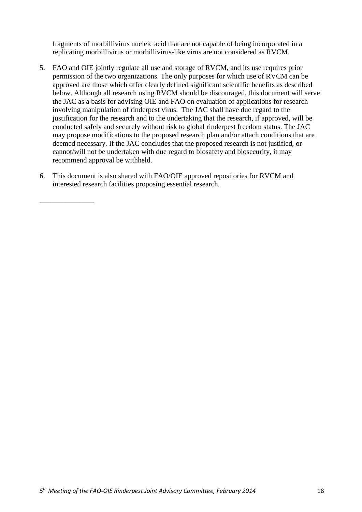fragments of morbillivirus nucleic acid that are not capable of being incorporated in a replicating morbillivirus or morbillivirus-like virus are not considered as RVCM.

- 5. FAO and OIE jointly regulate all use and storage of RVCM, and its use requires prior permission of the two organizations. The only purposes for which use of RVCM can be approved are those which offer clearly defined significant scientific benefits as described below. Although all research using RVCM should be discouraged, this document will serve the JAC as a basis for advising OIE and FAO on evaluation of applications for research involving manipulation of rinderpest virus. The JAC shall have due regard to the justification for the research and to the undertaking that the research, if approved, will be conducted safely and securely without risk to global rinderpest freedom status. The JAC may propose modifications to the proposed research plan and/or attach conditions that are deemed necessary. If the JAC concludes that the proposed research is not justified, or cannot/will not be undertaken with due regard to biosafety and biosecurity, it may recommend approval be withheld.
- 6. This document is also shared with FAO/OIE approved repositories for RVCM and interested research facilities proposing essential research.